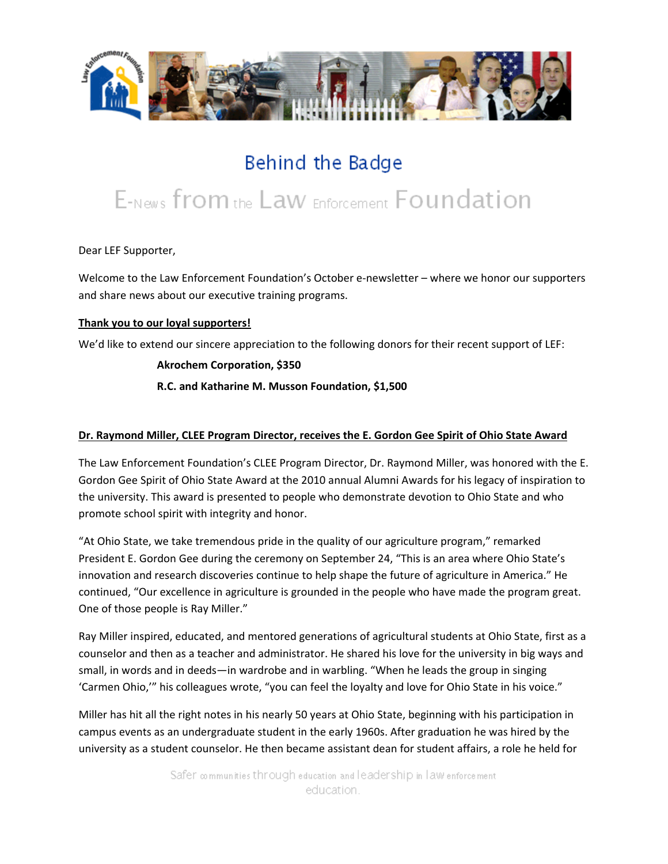

# Behind the Badge

# E-News from the Law Enforcement Foundation

Dear LEF Supporter,

Welcome to the Law Enforcement Foundation's October e-newsletter – where we honor our supporters and share news about our executive training programs.

# **Thank you to our loyal supporters!**

We'd like to extend our sincere appreciation to the following donors for their recent support of LEF:

# **Akrochem Corporation, \$350**

**R.C. and Katharine M. Musson Foundation, \$1,500** 

# **Dr. Raymond Miller, CLEE Program Director, receives the E. Gordon Gee Spirit of Ohio State Award**

The Law Enforcement Foundation's CLEE Program Director, Dr. Raymond Miller, was honored with the E. Gordon Gee Spirit of Ohio State Award at the 2010 annual Alumni Awards for his legacy of inspiration to the university. This award is presented to people who demonstrate devotion to Ohio State and who promote school spirit with integrity and honor.

"At Ohio State, we take tremendous pride in the quality of our agriculture program," remarked President E. Gordon Gee during the ceremony on September 24, "This is an area where Ohio State's innovation and research discoveries continue to help shape the future of agriculture in America." He continued, "Our excellence in agriculture is grounded in the people who have made the program great. One of those people is Ray Miller."

Ray Miller inspired, educated, and mentored generations of agricultural students at Ohio State, first as a counselor and then as a teacher and administrator. He shared his love for the university in big ways and small, in words and in deeds—in wardrobe and in warbling. "When he leads the group in singing 'Carmen Ohio,'" his colleagues wrote, "you can feel the loyalty and love for Ohio State in his voice."

Miller has hit all the right notes in his nearly 50 years at Ohio State, beginning with his participation in campus events as an undergraduate student in the early 1960s. After graduation he was hired by the university as a student counselor. He then became assistant dean for student affairs, a role he held for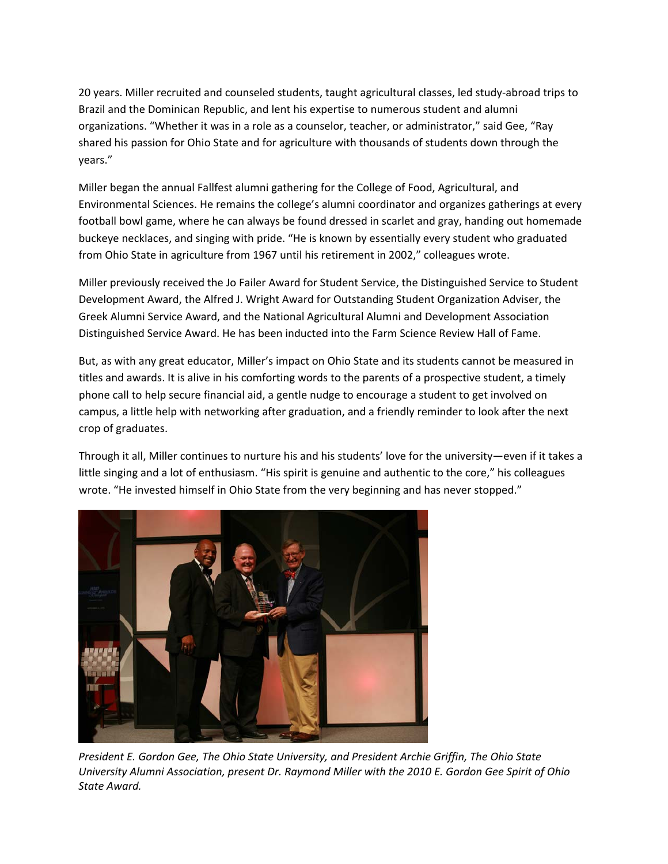20 years. Miller recruited and counseled students, taught agricultural classes, led study‐abroad trips to Brazil and the Dominican Republic, and lent his expertise to numerous student and alumni organizations. "Whether it was in a role as a counselor, teacher, or administrator," said Gee, "Ray shared his passion for Ohio State and for agriculture with thousands of students down through the years."

Miller began the annual Fallfest alumni gathering for the College of Food, Agricultural, and Environmental Sciences. He remains the college's alumni coordinator and organizes gatherings at every football bowl game, where he can always be found dressed in scarlet and gray, handing out homemade buckeye necklaces, and singing with pride. "He is known by essentially every student who graduated from Ohio State in agriculture from 1967 until his retirement in 2002," colleagues wrote.

Miller previously received the Jo Failer Award for Student Service, the Distinguished Service to Student Development Award, the Alfred J. Wright Award for Outstanding Student Organization Adviser, the Greek Alumni Service Award, and the National Agricultural Alumni and Development Association Distinguished Service Award. He has been inducted into the Farm Science Review Hall of Fame.

But, as with any great educator, Miller's impact on Ohio State and its students cannot be measured in titles and awards. It is alive in his comforting words to the parents of a prospective student, a timely phone call to help secure financial aid, a gentle nudge to encourage a student to get involved on campus, a little help with networking after graduation, and a friendly reminder to look after the next crop of graduates.

Through it all, Miller continues to nurture his and his students' love for the university—even if it takes a little singing and a lot of enthusiasm. "His spirit is genuine and authentic to the core," his colleagues wrote. "He invested himself in Ohio State from the very beginning and has never stopped."



*President E. Gordon Gee, The Ohio State University, and President Archie Griffin, The Ohio State University Alumni Association, present Dr. Raymond Miller with the 2010 E. Gordon Gee Spirit of Ohio State Award.*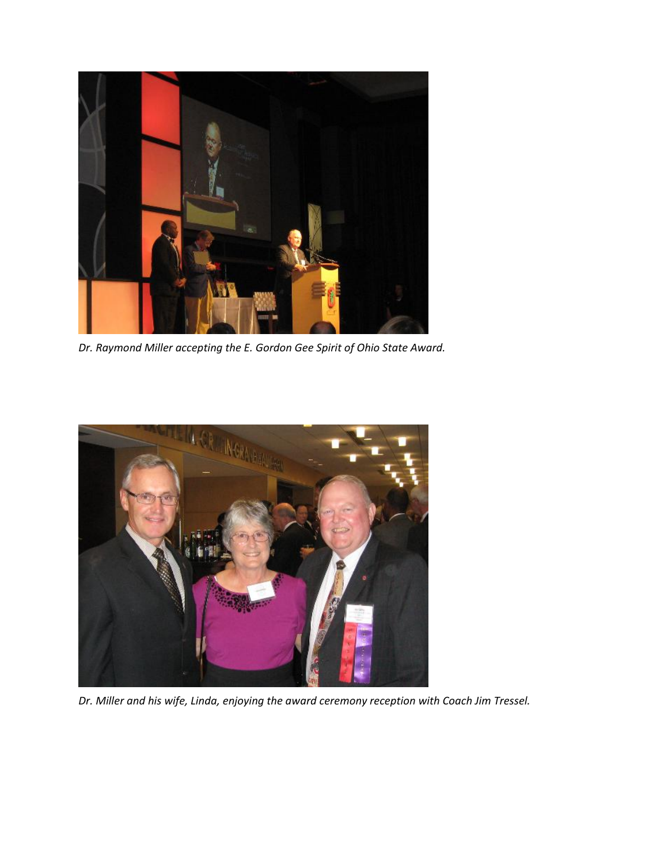

*Dr. Raymond Miller accepting the E. Gordon Gee Spirit of Ohio State Award.*



*Dr. Miller and his wife, Linda, enjoying the award ceremony reception with Coach Jim Tressel.*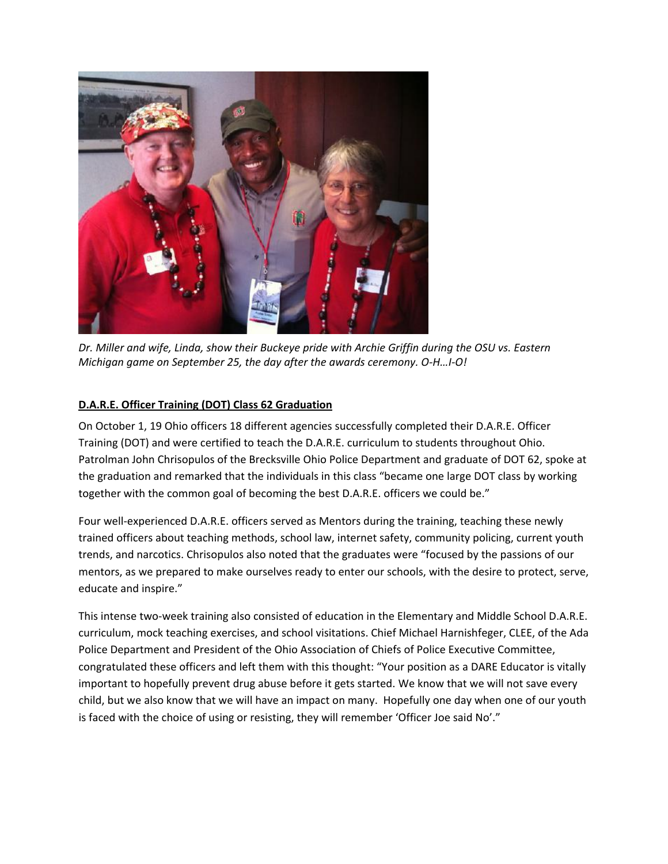

*Dr. Miller and wife, Linda, show their Buckeye pride with Archie Griffin during the OSU vs. Eastern Michigan game on September 25, the day after the awards ceremony. O‐H…I‐O!*

# **D.A.R.E. Officer Training (DOT) Class 62 Graduation**

On October 1, 19 Ohio officers 18 different agencies successfully completed their D.A.R.E. Officer Training (DOT) and were certified to teach the D.A.R.E. curriculum to students throughout Ohio. Patrolman John Chrisopulos of the Brecksville Ohio Police Department and graduate of DOT 62, spoke at the graduation and remarked that the individuals in this class "became one large DOT class by working together with the common goal of becoming the best D.A.R.E. officers we could be."

Four well-experienced D.A.R.E. officers served as Mentors during the training, teaching these newly trained officers about teaching methods, school law, internet safety, community policing, current youth trends, and narcotics. Chrisopulos also noted that the graduates were "focused by the passions of our mentors, as we prepared to make ourselves ready to enter our schools, with the desire to protect, serve, educate and inspire."

This intense two-week training also consisted of education in the Elementary and Middle School D.A.R.E. curriculum, mock teaching exercises, and school visitations. Chief Michael Harnishfeger, CLEE, of the Ada Police Department and President of the Ohio Association of Chiefs of Police Executive Committee, congratulated these officers and left them with this thought: "Your position as a DARE Educator is vitally important to hopefully prevent drug abuse before it gets started. We know that we will not save every child, but we also know that we will have an impact on many. Hopefully one day when one of our youth is faced with the choice of using or resisting, they will remember 'Officer Joe said No'."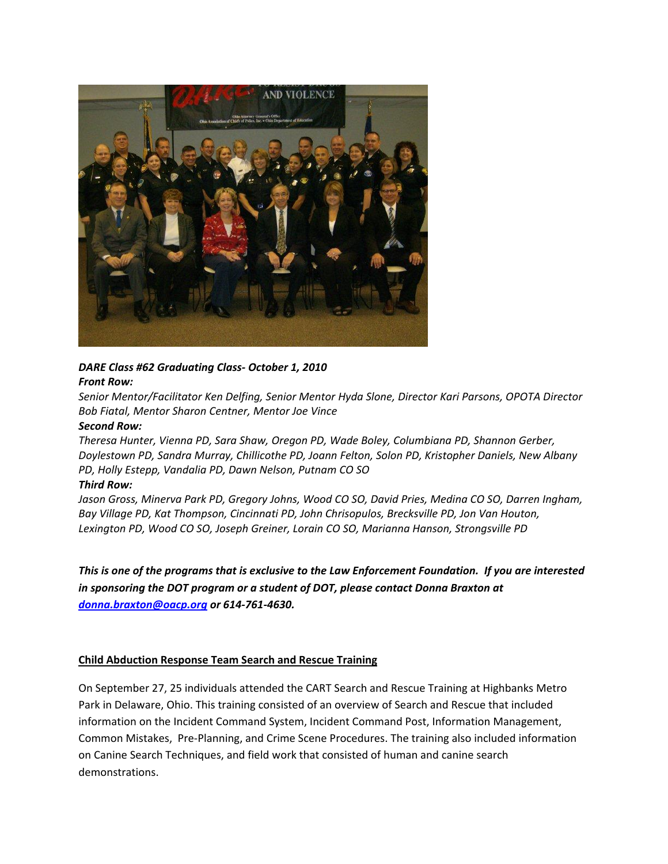

# *DARE Class #62 Graduating Class‐ October 1, 2010 Front Row:*

*Senior Mentor/Facilitator Ken Delfing, Senior Mentor Hyda Slone, Director Kari Parsons, OPOTA Director Bob Fiatal, Mentor Sharon Centner, Mentor Joe Vince* 

#### *Second Row:*

*Theresa Hunter, Vienna PD, Sara Shaw, Oregon PD, Wade Boley, Columbiana PD, Shannon Gerber, Doylestown PD, Sandra Murray, Chillicothe PD, Joann Felton, Solon PD, Kristopher Daniels, New Albany PD, Holly Estepp, Vandalia PD, Dawn Nelson, Putnam CO SO* 

#### *Third Row:*

*Jason Gross, Minerva Park PD, Gregory Johns, Wood CO SO, David Pries, Medina CO SO, Darren Ingham, Bay Village PD, Kat Thompson, Cincinnati PD, John Chrisopulos, Brecksville PD, Jon Van Houton, Lexington PD, Wood CO SO, Joseph Greiner, Lorain CO SO, Marianna Hanson, Strongsville PD*

This is one of the programs that is exclusive to the Law Enforcement Foundation. If you are interested *in sponsoring the DOT program or a student of DOT, please contact Donna Braxton at [donna.braxton@oacp.org](mailto:donna.braxton@oacp.org) or 614‐761‐4630.*

#### **Child Abduction Response Team Search and Rescue Training**

On September 27, 25 individuals attended the CART Search and Rescue Training at Highbanks Metro Park in Delaware, Ohio. This training consisted of an overview of Search and Rescue that included information on the Incident Command System, Incident Command Post, Information Management, Common Mistakes, Pre‐Planning, and Crime Scene Procedures. The training also included information on Canine Search Techniques, and field work that consisted of human and canine search demonstrations.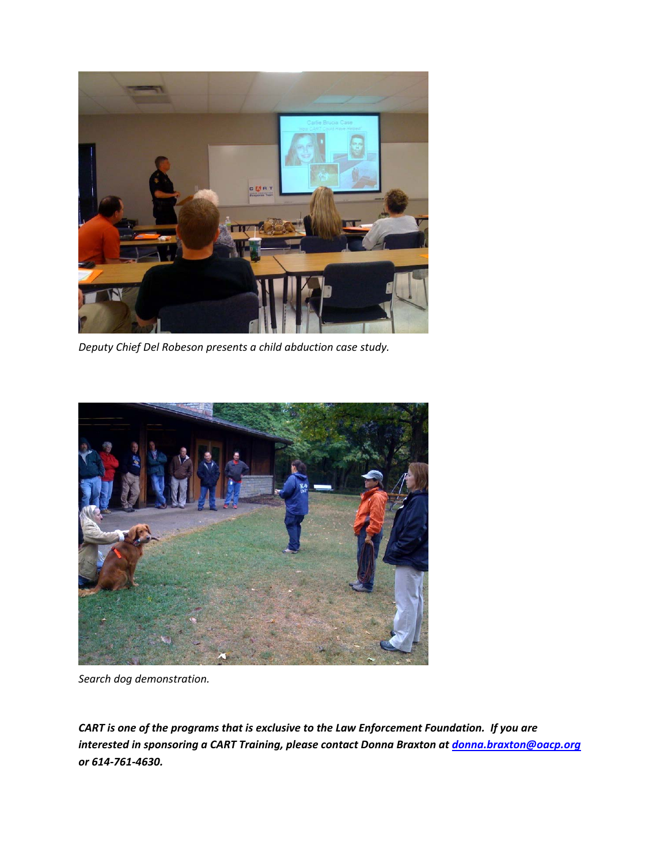

*Deputy Chief Del Robeson presents a child abduction case study.*



*Search dog demonstration.*

*CART is one of the programs that is exclusive to the Law Enforcement Foundation. If you are interested in sponsoring a CART Training, please contact Donna Braxton at [donna.braxton@oacp.org](mailto:donna.braxton@oacp.org) or 614‐761‐4630.*